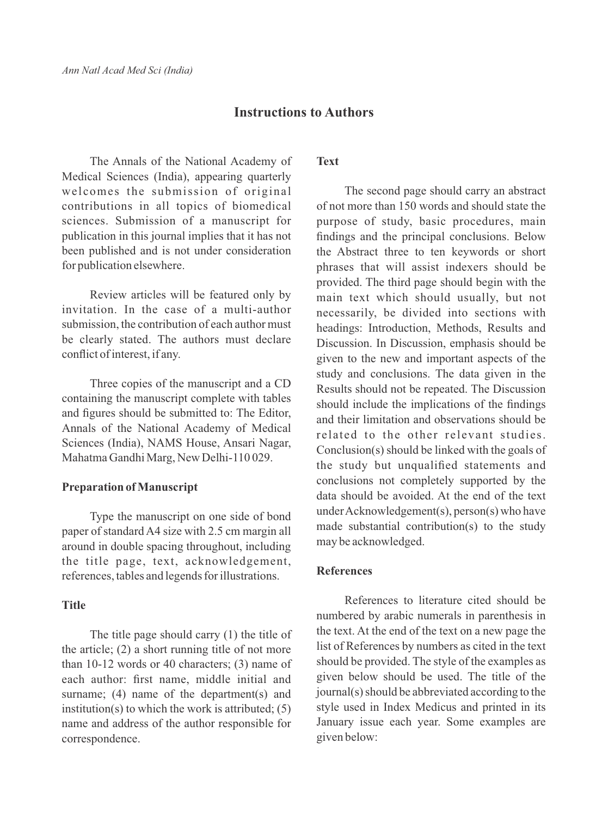# **Instructions to Authors**

The Annals of the National Academy of Medical Sciences (India), appearing quarterly welcomes the submission of original contributions in all topics of biomedical sciences. Submission of a manuscript for publication in this journal implies that it has not been published and is not under consideration for publication elsewhere.

Review articles will be featured only by invitation. In the case of a multi-author submission, the contribution of each author must be clearly stated. The authors must declare conflict of interest, if any.

Three copies of the manuscript and a CD containing the manuscript complete with tables and figures should be submitted to: The Editor, Annals of the National Academy of Medical Sciences (India), NAMS House, Ansari Nagar, Mahatma Gandhi Marg, New Delhi-110 029.

#### **Preparation of Manuscript**

Type the manuscript on one side of bond paper of standard A4 size with 2.5 cm margin all around in double spacing throughout, including the title page, text, acknowledgement, references, tables and legends for illustrations.

#### **Title**

The title page should carry (1) the title of the article; (2) a short running title of not more than 10-12 words or 40 characters; (3) name of each author: first name, middle initial and surname; (4) name of the department(s) and institution(s) to which the work is attributed;  $(5)$ name and address of the author responsible for correspondence.

# **Text**

The second page should carry an abstract of not more than 150 words and should state the purpose of study, basic procedures, main findings and the principal conclusions. Below the Abstract three to ten keywords or short phrases that will assist indexers should be provided. The third page should begin with the main text which should usually, but not necessarily, be divided into sections with headings: Introduction, Methods, Results and Discussion. In Discussion, emphasis should be given to the new and important aspects of the study and conclusions. The data given in the Results should not be repeated. The Discussion should include the implications of the findings and their limitation and observations should be related to the other relevant studies. Conclusion(s) should be linked with the goals of the study but unqualified statements and conclusions not completely supported by the data should be avoided. At the end of the text under Acknowledgement(s), person(s) who have made substantial contribution(s) to the study may be acknowledged.

# **References**

References to literature cited should be numbered by arabic numerals in parenthesis in the text. At the end of the text on a new page the list of References by numbers as cited in the text should be provided. The style of the examples as given below should be used. The title of the journal(s) should be abbreviated according to the style used in Index Medicus and printed in its January issue each year. Some examples are given below: